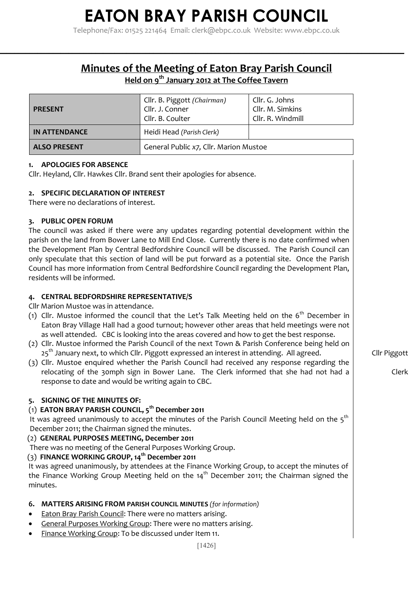**Minutes of the Meeting of Eaton Bray Parish Council**

**\_\_\_\_\_\_\_\_\_\_\_\_\_\_\_\_\_\_\_\_\_\_\_\_\_\_\_\_\_\_\_\_\_\_\_\_\_\_\_\_\_\_\_\_\_\_\_\_\_\_\_\_\_\_\_\_\_\_\_\_\_\_\_\_\_\_\_\_\_\_\_\_\_\_\_\_\_\_\_\_\_\_\_\_\_\_\_\_\_\_\_\_\_\_\_\_\_\_\_\_\_\_\_\_\_\_\_\_**

## **Held on 9 th January 2012 at The Coffee Tavern**

| <b>PRESENT</b>       | Cllr. B. Piggott (Chairman)<br>Cllr. J. Conner<br>Cllr. B. Coulter | Cllr. G. Johns<br>Cllr. M. Simkins<br>Cllr. R. Windmill |
|----------------------|--------------------------------------------------------------------|---------------------------------------------------------|
| <b>IN ATTENDANCE</b> | Heidi Head (Parish Clerk)                                          |                                                         |
| <b>ALSO PRESENT</b>  | General Public x7, Cllr. Marion Mustoe                             |                                                         |

### **1. APOLOGIES FOR ABSENCE**

Cllr. Heyland, Cllr. Hawkes Cllr. Brand sent their apologies for absence.

### **2. SPECIFIC DECLARATION OF INTEREST**

There were no declarations of interest.

### **3. PUBLIC OPEN FORUM**

The council was asked if there were any updates regarding potential development within the parish on the land from Bower Lane to Mill End Close. Currently there is no date confirmed when the Development Plan by Central Bedfordshire Council will be discussed. The Parish Council can only speculate that this section of land will be put forward as a potential site. Once the Parish Council has more information from Central Bedfordshire Council regarding the Development Plan, residents will be informed.

## **4. CENTRAL BEDFORDSHIRE REPRESENTATIVE/S**

#### Cllr Marion Mustoe was in attendance.

- (1) Cllr. Mustoe informed the council that the Let's Talk Meeting held on the  $6<sup>th</sup>$  December in Eaton Bray Village Hall had a good turnout; however other areas that held meetings were not as well attended. CBC is looking into the areas covered and how to get the best response.
- (2) Cllr. Mustoe informed the Parish Council of the next Town & Parish Conference being held on 25<sup>th</sup> January next, to which Cllr. Piggott expressed an interest in attending. All agreed.
- (3) Cllr. Mustoe enquired whether the Parish Council had received any response regarding the relocating of the 30mph sign in Bower Lane. The Clerk informed that she had not had a response to date and would be writing again to CBC.

## **5. SIGNING OF THE MINUTES OF:**

## (1) **EATON BRAY PARISH COUNCIL, 5 th December 2011**

It was agreed unanimously to accept the minutes of the Parish Council Meeting held on the 5 $^{\rm th}$ December 2011; the Chairman signed the minutes.

#### (2) **GENERAL PURPOSES MEETING, December 2011**

There was no meeting of the General Purposes Working Group.

## (3) **FINANCE WORKING GROUP, 14th December 2011**

It was agreed unanimously, by attendees at the Finance Working Group, to accept the minutes of the Finance Working Group Meeting held on the  $14<sup>th</sup>$  December 2011; the Chairman signed the minutes.

## **6. MATTERS ARISING FROM PARISH COUNCIL MINUTES** *(for information)*

- **Eaton Bray Parish Council: There were no matters arising.**
- General Purposes Working Group: There were no matters arising.
- Finance Working Group: To be discussed under Item 11.

Cllr Piggott

Clerk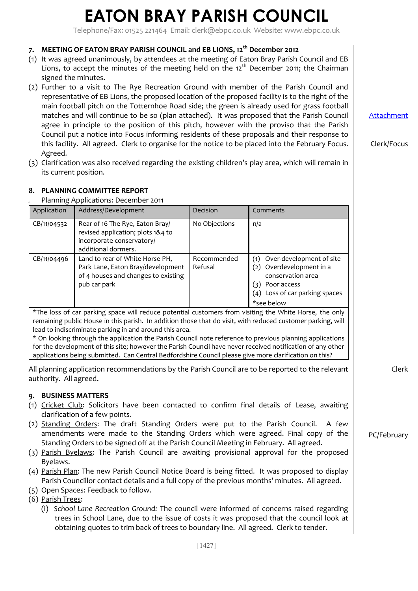Telephone/Fax: 01525 221464 Email: [clerk@ebpc.co.uk](mailto:clerk@ebpc.co.uk) Website: www.ebpc.co.uk

## **7. MEETING OF EATON BRAY PARISH COUNCIL and EB LIONS, 12th December 2012**

- (1) It was agreed unanimously, by attendees at the meeting of Eaton Bray Parish Council and EB Lions, to accept the minutes of the meeting held on the  $12<sup>th</sup>$  December 2011; the Chairman signed the minutes.
- (2) Further to a visit to The Rye Recreation Ground with member of the Parish Council and representative of EB Lions, the proposed location of the proposed facility is to the right of the main football pitch on the Totternhoe Road side; the green is already used for grass football matches and will continue to be so (plan attached). It was proposed that the Parish Council agree in principle to the position of this pitch, however with the proviso that the Parish Council put a notice into Focus informing residents of these proposals and their response to this facility. All agreed. Clerk to organise for the notice to be placed into the February Focus. Agreed.
- (3) Clarification was also received regarding the existing children's play area, which will remain in its current position.

### **8. PLANNING COMMITTEE REPORT**

(1) Planning Applications: December 2011

| Application                                                                                                                                                                                                                                                                                                                                                                                                                                                                                                | Address/Development                                                                                                         | Decision               | Comments                                                                                                                                                  |  |  |
|------------------------------------------------------------------------------------------------------------------------------------------------------------------------------------------------------------------------------------------------------------------------------------------------------------------------------------------------------------------------------------------------------------------------------------------------------------------------------------------------------------|-----------------------------------------------------------------------------------------------------------------------------|------------------------|-----------------------------------------------------------------------------------------------------------------------------------------------------------|--|--|
| CB/11/04532                                                                                                                                                                                                                                                                                                                                                                                                                                                                                                | Rear of 16 The Rye, Eaton Bray/<br>revised application; plots 1&4 to<br>incorporate conservatory/<br>additional dormers.    | No Objections          | n/a                                                                                                                                                       |  |  |
| CB/11/04496                                                                                                                                                                                                                                                                                                                                                                                                                                                                                                | Land to rear of White Horse PH,<br>Park Lane, Eaton Bray/development<br>of 4 houses and changes to existing<br>pub car park | Recommended<br>Refusal | Over-development of site<br>(1)<br>Overdevelopment in a<br>(2)<br>conservation area<br>Poor access<br>(३)<br>(4) Loss of car parking spaces<br>*see below |  |  |
| *The loss of car parking space will reduce potential customers from visiting the White Horse, the only<br>remaining public House in this parish. In addition those that do visit, with reduced customer parking, will<br>lead to indiscriminate parking in and around this area.<br>* On looking through the application the Parish Council note reference to previous planning applications<br>for the development of this site: however the Parish Council have never received notification of any other |                                                                                                                             |                        |                                                                                                                                                           |  |  |

applications being submitted. Can Central Bedfordshire Council please give more clarification on this? All planning application recommendations by the Parish Council are to be reported to the relevant authority. All agreed.

#### **9. BUSINESS MATTERS**

- (1) Cricket Club: Solicitors have been contacted to confirm final details of Lease, awaiting clarification of a few points.
- (2) Standing Orders: The draft Standing Orders were put to the Parish Council. A few amendments were made to the Standing Orders which were agreed. Final copy of the Standing Orders to be signed off at the Parish Council Meeting in February. All agreed.
- (3) Parish Byelaws: The Parish Council are awaiting provisional approval for the proposed Byelaws.
- (4) Parish Plan: The new Parish Council Notice Board is being fitted. It was proposed to display Parish Councillor contact details and a full copy of the previous months' minutes. All agreed.
- (5) Open Spaces: Feedback to follow.

(6) Parish Trees:

(i) *School Lane Recreation Ground:* The council were informed of concerns raised regarding trees in School Lane, due to the issue of costs it was proposed that the council look at obtaining quotes to trim back of trees to boundary line. All agreed. Clerk to tender.

[Attachment](http://www.ebpc.co.uk/minutes/2012-01-january-attachment.pdf)

Clerk/Focus

Clerk

PC/February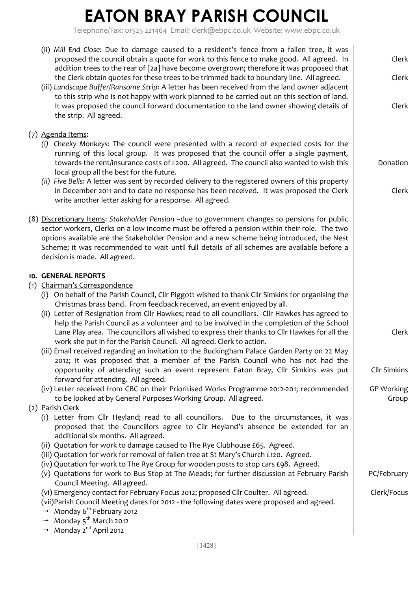Telephone/Fax: 01525 221464 Email: [clerk@ebpc.co.uk](mailto:clerk@ebpc.co.uk) Website: www.ebpc.co.uk

| (ii) Mill End Close: Due to damage caused to a resident's fence from a fallen tree, it was<br>proposed the council obtain a quote for work to this fence to make good. All agreed. In<br>addition trees to the rear of [2a] have become overgrown; therefore it was proposed that<br>the Clerk obtain quotes for these trees to be trimmed back to boundary line. All agreed.<br>(iii) Landscape Buffer/Ransome Strip: A letter has been received from the land owner adjacent<br>to this strip who is not happy with work planned to be carried out on this section of land.<br>It was proposed the council forward documentation to the land owner showing details of<br>the strip. All agreed.                                                                                                                                                                                                                                                                                                                                                                                      | Clerk<br>Clerk<br>Clerk                                    |
|----------------------------------------------------------------------------------------------------------------------------------------------------------------------------------------------------------------------------------------------------------------------------------------------------------------------------------------------------------------------------------------------------------------------------------------------------------------------------------------------------------------------------------------------------------------------------------------------------------------------------------------------------------------------------------------------------------------------------------------------------------------------------------------------------------------------------------------------------------------------------------------------------------------------------------------------------------------------------------------------------------------------------------------------------------------------------------------|------------------------------------------------------------|
| (7) Agenda Items:<br>(i) Cheeky Monkeys: The council were presented with a record of expected costs for the<br>running of this local group. It was proposed that the council offer a single payment,<br>towards the rent/insurance costs of £200. All agreed. The council also wanted to wish this<br>local group all the best for the future.<br>(ii) Five Bells: A letter was sent by recorded delivery to the registered owners of this property<br>in December 2011 and to date no response has been received. It was proposed the Clerk<br>write another letter asking for a response. All agreed.                                                                                                                                                                                                                                                                                                                                                                                                                                                                                | Donation<br>Clerk                                          |
| (8) Discretionary Items: Stakeholder Pension -due to government changes to pensions for public<br>sector workers, Clerks on a low income must be offered a pension within their role. The two<br>options available are the Stakeholder Pension and a new scheme being introduced, the Nest<br>Scheme; it was recommended to wait until full details of all schemes are available before a<br>decision is made. All agreed.                                                                                                                                                                                                                                                                                                                                                                                                                                                                                                                                                                                                                                                             |                                                            |
| 10. GENERAL REPORTS<br>(1) Chairman's Correspondence<br>(i) On behalf of the Parish Council, Cllr Piggott wished to thank Cllr Simkins for organising the<br>Christmas brass band. From feedback received, an event enjoyed by all.<br>(ii) Letter of Resignation from Cllr Hawkes; read to all councillors. Cllr Hawkes has agreed to<br>help the Parish Council as a volunteer and to be involved in the completion of the School<br>Lane Play area. The councillors all wished to express their thanks to Cllr Hawkes for all the<br>work she put in for the Parish Council. All agreed. Clerk to action.<br>(iii) Email received regarding an invitation to the Buckingham Palace Garden Party on 22 May<br>2012; it was proposed that a member of the Parish Council who has not had the<br>opportunity of attending such an event represent Eaton Bray, Cllr Simkins was put<br>forward for attending. All agreed.<br>(iv) Letter received from CBC on their Prioritised Works Programme 2012-201; recommended<br>to be looked at by General Purposes Working Group. All agreed. | Clerk<br><b>Cllr Simkins</b><br><b>GP Working</b><br>Group |
| (2) Parish Clerk<br>(i) Letter from Cllr Heyland; read to all councillors. Due to the circumstances, it was<br>proposed that the Councillors agree to Cllr Heyland's absence be extended for an<br>additional six months. All agreed.<br>(ii) Quotation for work to damage caused to The Rye Clubhouse £65. Agreed.<br>(iii) Quotation for work for removal of fallen tree at St Mary's Church £120. Agreed.<br>(iv) Quotation for work to The Rye Group for wooden posts to stop cars £98. Agreed.<br>(v) Quotations for work to Bus Stop at The Meads; for further discussion at February Parish<br>Council Meeting. All agreed.<br>(vi) Emergency contact for February Focus 2012; proposed Cllr Coulter. All agreed.<br>(vii)Parish Council Meeting dates for 2012 - the following dates were proposed and agreed.<br><sup>→</sup> Monday 6 <sup>th</sup> February 2012<br>→ Monday 5 <sup>th</sup> March 2012<br><sup>→</sup> Monday 2 <sup>nd</sup> April 2012                                                                                                                   | PC/February<br>Clerk/Focus                                 |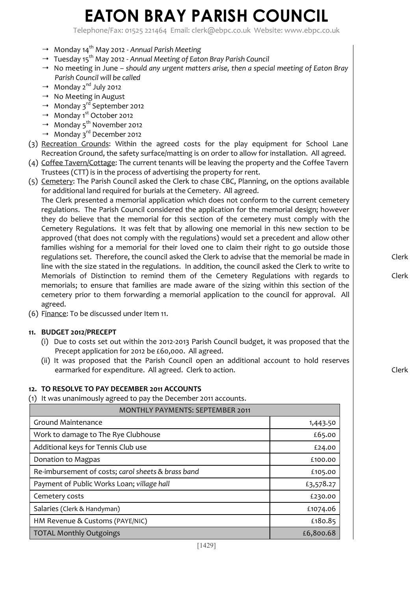Telephone/Fax: 01525 221464 Email: [clerk@ebpc.co.uk](mailto:clerk@ebpc.co.uk) Website: www.ebpc.co.uk

- <sup>→→</sup> Monday 14<sup>th</sup> May 2012 Annual Parish Meeting
- Tuesday 15th May 2012 *Annual Meeting of Eaton Bray Parish Council*
- <sup>→→</sup> No meeting in June *should any urgent matters arise, then a special meeting of Eaton Bray Parish Council will be called*
- $\rightarrow$  Monday 2<sup>nd</sup> July 2012
- <sup>→</sup> No Meeting in August
- $\rightarrow$  Monday 3<sup>rd</sup> September 2012
- <sup>→</sup> Monday 1<sup>st</sup> October 2012
- $\rightarrow$  Monday 5<sup>th</sup> November 2012
- $\rightarrow$  Monday 3<sup>rd</sup> December 2012
- (3) Recreation Grounds: Within the agreed costs for the play equipment for School Lane Recreation Ground, the safety surface/matting is on order to allow for installation. All agreed.
- (4) Coffee Tavern/Cottage: The current tenants will be leaving the property and the Coffee Tavern Trustees (CTT) is in the process of advertising the property for rent.
- (5) Cemetery: The Parish Council asked the Clerk to chase CBC, Planning, on the options available for additional land required for burials at the Cemetery. All agreed.

The Clerk presented a memorial application which does not conform to the current cemetery regulations. The Parish Council considered the application for the memorial design; however they do believe that the memorial for this section of the cemetery must comply with the Cemetery Regulations. It was felt that by allowing one memorial in this new section to be approved (that does not comply with the regulations) would set a precedent and allow other families wishing for a memorial for their loved one to claim their right to go outside those regulations set. Therefore, the council asked the Clerk to advise that the memorial be made in line with the size stated in the regulations. In addition, the council asked the Clerk to write to Memorials of Distinction to remind them of the Cemetery Regulations with regards to memorials; to ensure that families are made aware of the sizing within this section of the cemetery prior to them forwarding a memorial application to the council for approval. All agreed.

(6) Finance: To be discussed under Item 11.

#### **11. BUDGET 2012/PRECEPT**

- (i) Due to costs set out within the 2012-2013 Parish Council budget, it was proposed that the Precept application for 2012 be £60,000. All agreed.
- (ii) It was proposed that the Parish Council open an additional account to hold reserves earmarked for expenditure. All agreed. Clerk to action.

#### **12. TO RESOLVE TO PAY DECEMBER 2011 ACCOUNTS**

(1) It was unanimously agreed to pay the December 2011 accounts.

| <b>MONTHLY PAYMENTS: SEPTEMBER 2011</b>            |           |  |
|----------------------------------------------------|-----------|--|
| Ground Maintenance                                 | 1,443.50  |  |
| Work to damage to The Rye Clubhouse                | £65.00    |  |
| Additional keys for Tennis Club use                | £24.00    |  |
| Donation to Magpas                                 | £100.00   |  |
| Re-imbursement of costs; carol sheets & brass band | £105.00   |  |
| Payment of Public Works Loan; village hall         | £3,578.27 |  |
| Cemetery costs                                     | £230.00   |  |
| Salaries (Clerk & Handyman)                        | £1074.06  |  |
| HM Revenue & Customs (PAYE/NIC)                    | £180.85   |  |
| <b>TOTAL Monthly Outgoings</b>                     | £6,800.68 |  |

Clerk

Clerk

Clerk